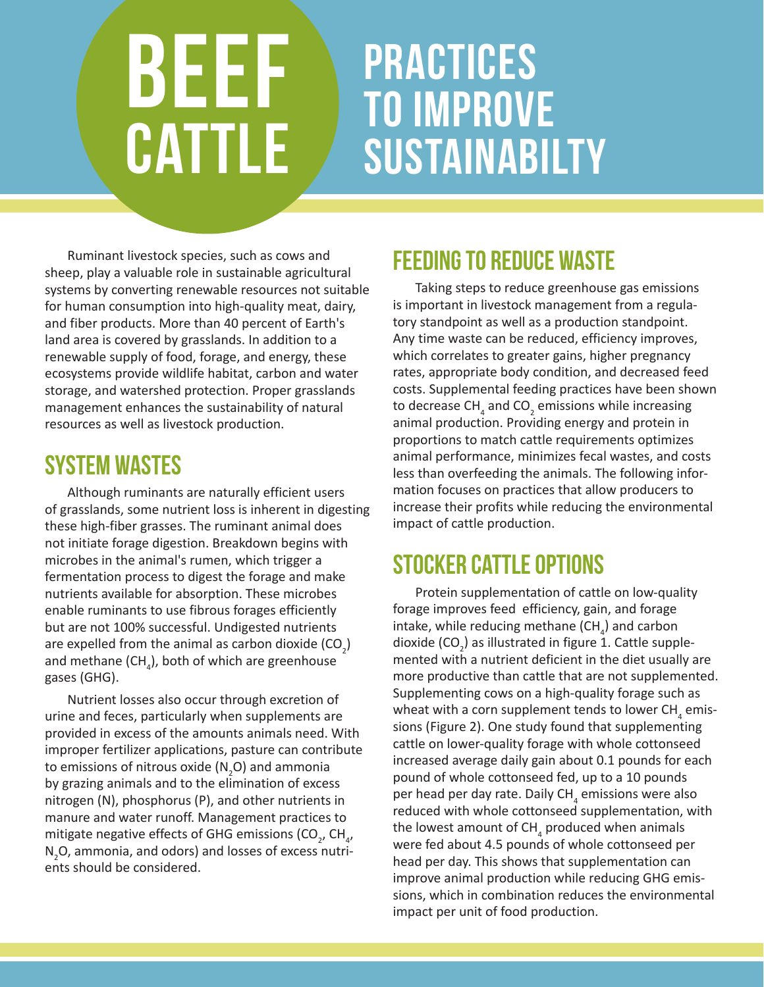# BEEF **CATTLE**

# practices to improve **SUSTAINABILTY**

Ruminant livestock species, such as cows and sheep, play a valuable role in sustainable agricultural systems by converting renewable resources not suitable for human consumption into high-quality meat, dairy, and fiber products. More than 40 percent of Earth's land area is covered by grasslands. In addition to a renewable supply of food, forage, and energy, these ecosystems provide wildlife habitat, carbon and water storage, and watershed protection. Proper grasslands management enhances the sustainability of natural resources as well as livestock production.

### System Wastes

Although ruminants are naturally efficient users of grasslands, some nutrient loss is inherent in digesting these high-fiber grasses. The ruminant animal does not initiate forage digestion. Breakdown begins with microbes in the animal's rumen, which trigger a fermentation process to digest the forage and make nutrients available for absorption. These microbes enable ruminants to use fibrous forages efficiently but are not 100% successful. Undigested nutrients are expelled from the animal as carbon dioxide (CO<sub>2</sub>) and methane (CH<sub>4</sub>), both of which are greenhouse gases (GHG).

Nutrient losses also occur through excretion of urine and feces, particularly when supplements are provided in excess of the amounts animals need. With improper fertilizer applications, pasture can contribute to emissions of nitrous oxide (N<sub>2</sub>O) and ammonia by grazing animals and to the elimination of excess nitrogen (N), phosphorus (P), and other nutrients in manure and water runoff. Management practices to mitigate negative effects of GHG emissions (CO<sub>2</sub>, CH<sub>4</sub>, N<sub>2</sub>O, ammonia, and odors) and losses of excess nutrients should be considered.

## Feeding to reduce waste

Taking steps to reduce greenhouse gas emissions is important in livestock management from a regulatory standpoint as well as a production standpoint. Any time waste can be reduced, efficiency improves, which correlates to greater gains, higher pregnancy rates, appropriate body condition, and decreased feed costs. Supplemental feeding practices have been shown to decrease CH<sub>4</sub> and CO<sub>2</sub> emissions while increasing animal production. Providing energy and protein in proportions to match cattle requirements optimizes animal performance, minimizes fecal wastes, and costs less than overfeeding the animals. The following information focuses on practices that allow producers to increase their profits while reducing the environmental impact of cattle production.

### Stocker Cattle options

Protein supplementation of cattle on low-quality forage improves feed efficiency, gain, and forage intake, while reducing methane (CH<sub>4</sub>) and carbon dioxide (CO<sub>2</sub>) as illustrated in figure 1. Cattle supplemented with a nutrient deficient in the diet usually are more productive than cattle that are not supplemented. Supplementing cows on a high-quality forage such as wheat with a corn supplement tends to lower CH<sub>4</sub> emissions (Figure 2). One study found that supplementing cattle on lower-quality forage with whole cottonseed increased average daily gain about 0.1 pounds for each pound of whole cottonseed fed, up to a 10 pounds per head per day rate. Daily CH<sub>4</sub> emissions were also reduced with whole cottonseed supplementation, with the lowest amount of CH<sub>4</sub> produced when animals were fed about 4.5 pounds of whole cottonseed per head per day. This shows that supplementation can improve animal production while reducing GHG emissions, which in combination reduces the environmental impact per unit of food production.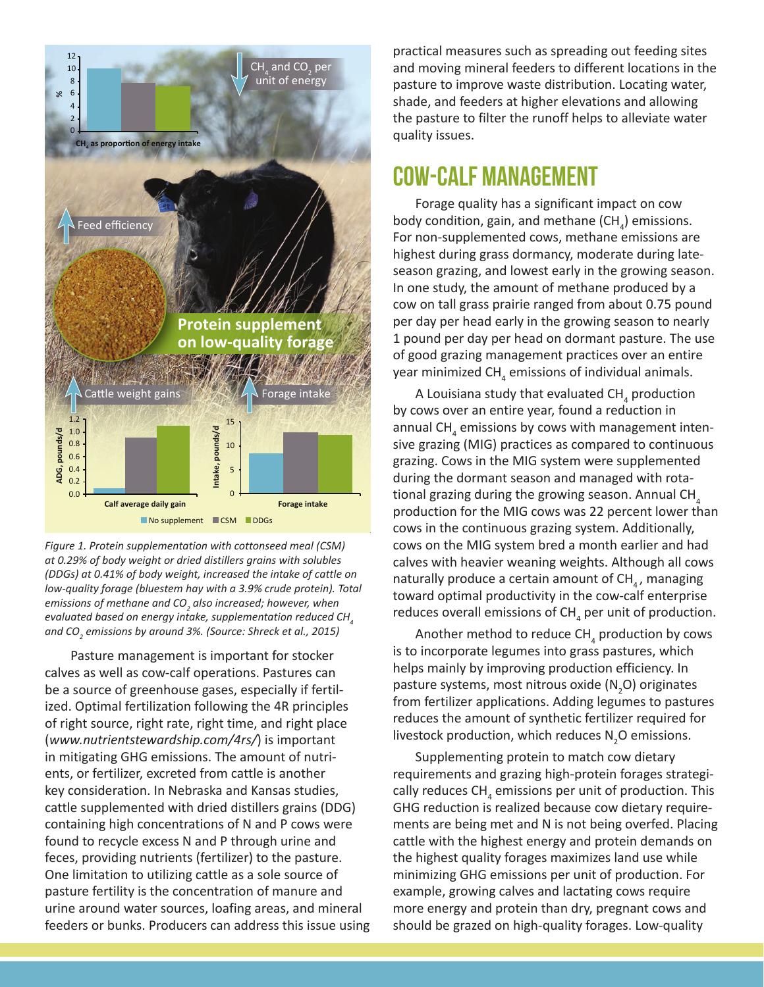

*Figure 1. Protein supplementation with cottonseed meal (CSM) at 0.29% of body weight or dried distillers grains with solubles (DDGs) at 0.41% of body weight, increased the intake of cattle on low-quality forage (bluestem hay with a 3.9% crude protein). Total*  emissions of methane and CO<sub>2</sub> also increased; however, when *evaluated based on energy intake, supplementation reduced CH4 and CO2 emissions by around 3%. (Source: Shreck et al., 2015)*

 Pasture management is important for stocker calves as well as cow-calf operations. Pastures can be a source of greenhouse gases, especially if fertilized. Optimal fertilization following the 4R principles of right source, right rate, right time, and right place (*www.nutrientstewardship.com/4rs/*) is important in mitigating GHG emissions. The amount of nutrients, or fertilizer, excreted from cattle is another key consideration. In Nebraska and Kansas studies, cattle supplemented with dried distillers grains (DDG) containing high concentrations of N and P cows were found to recycle excess N and P through urine and feces, providing nutrients (fertilizer) to the pasture. One limitation to utilizing cattle as a sole source of pasture fertility is the concentration of manure and urine around water sources, loafing areas, and mineral feeders or bunks. Producers can address this issue using practical measures such as spreading out feeding sites and moving mineral feeders to different locations in the pasture to improve waste distribution. Locating water, shade, and feeders at higher elevations and allowing the pasture to filter the runoff helps to alleviate water quality issues.

#### Cow-Calf Management

Forage quality has a significant impact on cow body condition, gain, and methane (CH<sub>4</sub>) emissions. For non-supplemented cows, methane emissions are highest during grass dormancy, moderate during lateseason grazing, and lowest early in the growing season. In one study, the amount of methane produced by a cow on tall grass prairie ranged from about 0.75 pound per day per head early in the growing season to nearly 1 pound per day per head on dormant pasture. The use of good grazing management practices over an entire year minimized  $\textsf{CH}_{_4}$  emissions of individual animals.

A Louisiana study that evaluated CH<sub>4</sub> production by cows over an entire year, found a reduction in annual CH<sub>4</sub> emissions by cows with management intensive grazing (MIG) practices as compared to continuous grazing. Cows in the MIG system were supplemented during the dormant season and managed with rotational grazing during the growing season. Annual CH<sub>4</sub> production for the MIG cows was 22 percent lower than cows in the continuous grazing system. Additionally, cows on the MIG system bred a month earlier and had calves with heavier weaning weights. Although all cows naturally produce a certain amount of  $CH_{4}$ , managing toward optimal productivity in the cow-calf enterprise reduces overall emissions of CH<sub>4</sub> per unit of production.

Another method to reduce CH<sub>4</sub> production by cows is to incorporate legumes into grass pastures, which helps mainly by improving production efficiency. In pasture systems, most nitrous oxide ( $N_2$ O) originates from fertilizer applications. Adding legumes to pastures reduces the amount of synthetic fertilizer required for livestock production, which reduces  $N_{2}$ O emissions.

Supplementing protein to match cow dietary requirements and grazing high-protein forages strategically reduces  $\textsf{CH}_{_4}$  emissions per unit of production. This GHG reduction is realized because cow dietary requirements are being met and N is not being overfed. Placing cattle with the highest energy and protein demands on the highest quality forages maximizes land use while minimizing GHG emissions per unit of production. For example, growing calves and lactating cows require more energy and protein than dry, pregnant cows and should be grazed on high-quality forages. Low-quality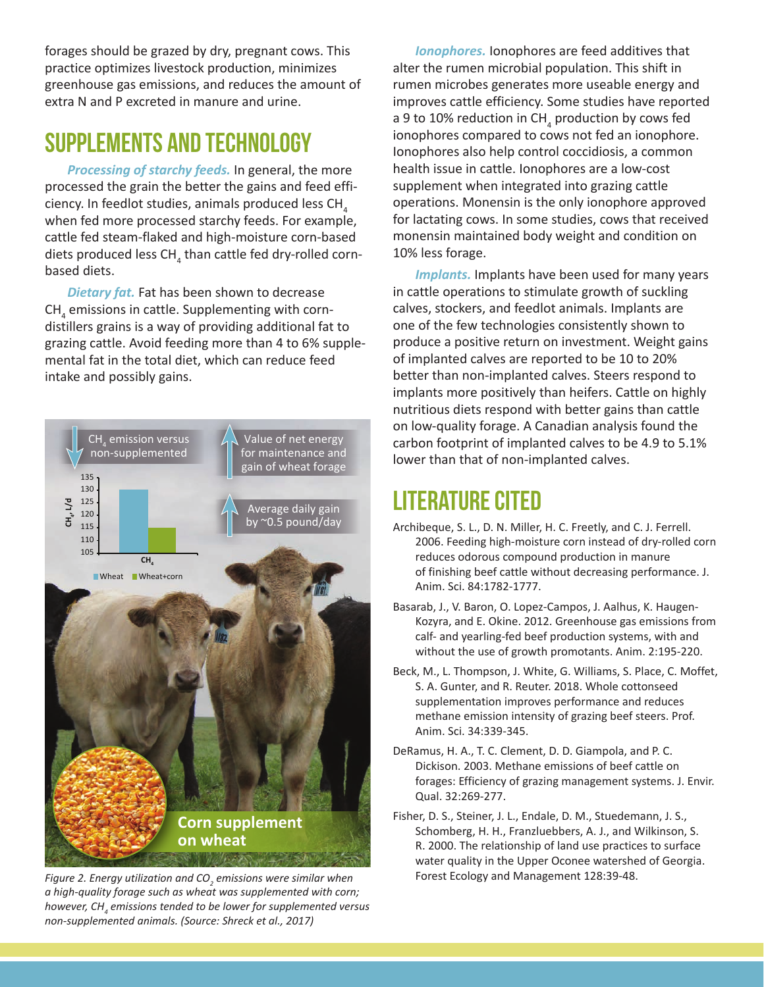forages should be grazed by dry, pregnant cows. This practice optimizes livestock production, minimizes greenhouse gas emissions, and reduces the amount of extra N and P excreted in manure and urine.

#### Supplements and Technology

*Processing of starchy feeds.* In general, the more processed the grain the better the gains and feed efficiency. In feedlot studies, animals produced less CH<sub>4</sub> when fed more processed starchy feeds. For example, cattle fed steam-flaked and high-moisture corn-based diets produced less CH<sub>4</sub> than cattle fed dry-rolled cornbased diets.

*Dietary fat.* Fat has been shown to decrease  $\textsf{CH}_4^{}$  emissions in cattle. Supplementing with corndistillers grains is a way of providing additional fat to grazing cattle. Avoid feeding more than 4 to 6% supplemental fat in the total diet, which can reduce feed intake and possibly gains.



*Figure 2. Energy utilization and CO<sub>2</sub> emissions were similar when 2014 Forest Ecology and Management 128:39-48. a high-quality forage such as wheat was supplemented with corn; however, CH4 emissions tended to be lower for supplemented versus* 

*Ionophores.* Ionophores are feed additives that alter the rumen microbial population. This shift in rumen microbes generates more useable energy and improves cattle efficiency. Some studies have reported a 9 to 10% reduction in CH<sub>4</sub> production by cows fed ionophores compared to cows not fed an ionophore. Ionophores also help control coccidiosis, a common health issue in cattle. Ionophores are a low-cost supplement when integrated into grazing cattle operations. Monensin is the only ionophore approved for lactating cows. In some studies, cows that received monensin maintained body weight and condition on 10% less forage.

**Implants.** Implants have been used for many years in cattle operations to stimulate growth of suckling calves, stockers, and feedlot animals. Implants are one of the few technologies consistently shown to produce a positive return on investment. Weight gains of implanted calves are reported to be 10 to 20% better than non-implanted calves. Steers respond to implants more positively than heifers. Cattle on highly nutritious diets respond with better gains than cattle on low-quality forage. A Canadian analysis found the carbon footprint of implanted calves to be 4.9 to 5.1% lower than that of non-implanted calves.

#### Literature cited

- Archibeque, S. L., D. N. Miller, H. C. Freetly, and C. J. Ferrell. 2006. Feeding high-moisture corn instead of dry-rolled corn reduces odorous compound production in manure of finishing beef cattle without decreasing performance. J. Anim. Sci. 84:1782-1777.
- Basarab, J., V. Baron, O. Lopez-Campos, J. Aalhus, K. Haugen-Kozyra, and E. Okine. 2012. Greenhouse gas emissions from calf- and yearling-fed beef production systems, with and without the use of growth promotants. Anim. 2:195-220.
- Beck, M., L. Thompson, J. White, G. Williams, S. Place, C. Moffet, S. A. Gunter, and R. Reuter. 2018. Whole cottonseed supplementation improves performance and reduces methane emission intensity of grazing beef steers. Prof. Anim. Sci. 34:339-345.
- DeRamus, H. A., T. C. Clement, D. D. Giampola, and P. C. Dickison. 2003. Methane emissions of beef cattle on forages: Efficiency of grazing management systems. J. Envir. Qual. 32:269-277.
- Fisher, D. S., Steiner, J. L., Endale, D. M., Stuedemann, J. S., Schomberg, H. H., Franzluebbers, A. J., and Wilkinson, S. R. 2000. The relationship of land use practices to surface water quality in the Upper Oconee watershed of Georgia.